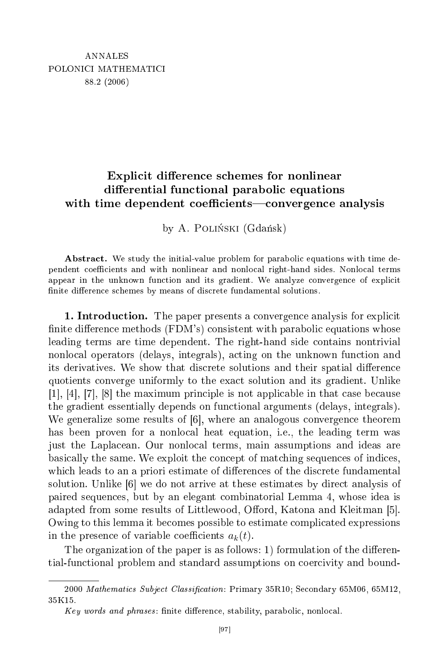## ited and the contract of the contract of the contract of the contract of the contract of the contract of the contract of the contract of the contract of the contract of the contract of the contract of the contract of the c dierential functional functions of the control of the control of the control of the control of the control of the control of the control of the control of the control of the control of the control of the control of the con with time dependent oe
ients
onvergen
e analysis

by A. POLIŃSKI (Gdańsk)

Abstract. We study the initial-value problem for parabolic equations with time dependent coefficients and with nonlinear and nonlocal right-hand sides. Nonlocal terms appear in the unknown function and its gradient. We analyze convergence of explicit finite difference schemes by means of discrete fundamental solutions.

**1. Introduction.** The paper presents a convergence analysis for explicit finite difference methods (FDM's) consistent with parabolic equations whose leading terms are time dependent. The right-hand side contains nontrivial nonlo
al operators (delays, integrals), a
ting on the unknown fun
tion and its derivatives. We show that discrete solutions and their spatial difference quotients onverge uniformly to the exa
t solution and its gradient. Unlike  $[1], [4], [7], [8]$  the maximum principle is not applicable in that case because the gradient essentially depends on fun
tional arguments (delays, integrals). We generalize some results of  $[6]$ , where an analogous convergence theorem has been proven for a nonlocal heat equation, i.e., the leading term was just the Lapla
ean. Our nonlo
al terms, main assumptions and ideas are basi
ally the same. We exploit the on
ept of mat
hing sequen
es of indi
es, which leads to an a priori estimate of differences of the discrete fundamental solution. Unlike  $[6]$  we do not arrive at these estimates by direct analysis of paired sequen
es, but by an elegant ombinatorial Lemma 4, whose idea is adapted from some results of Littlewood, Offord, Katona and Kleitman [5]. Owing to this lemma it becomes possible to estimate complicated expressions in the presence of variable coefficients  $a_k(t)$ .

The organization of the paper is as follows: 1) formulation of the differential-functional problem and standard assumptions on coercivity and bound-

<sup>2000</sup> Mathematics Subject Classification: Primary 35R10; Secondary 65M06, 65M12, 35K15.

Key words and phrases: finite difference, stability, parabolic, nonlocal.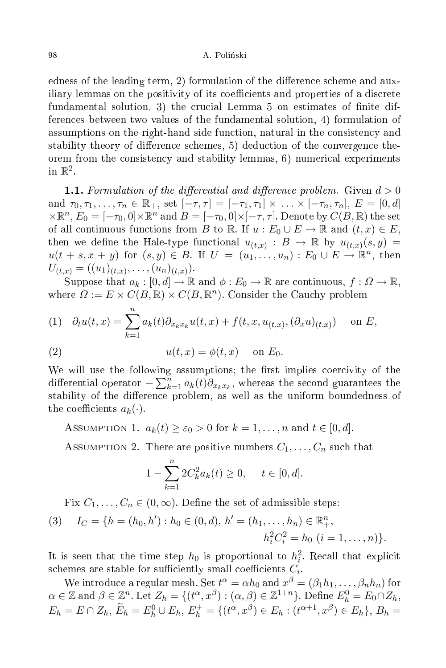## A Poliński

edness of the leading term, 2) formulation of the difference scheme and auxiliary lemmas on the positivity of its coefficients and properties of a discrete fundamental solution, 3) the crucial Lemma 5 on estimates of finite differences between two values of the fundamental solution, 4) formulation of assumptions on the right-hand side function, natural in the consistency and stability theory of difference schemes, 5) deduction of the convergence theorem from the consistency and stability lemmas, 6) numerical experiments in  $\mathbb{R}^2$ .

**1.1.** Formulation of the differential and difference problem. Given  $d > 0$ and  $\tau_0, \tau_1, \ldots, \tau_n \in \mathbb{R}_+$ , set  $[-\tau, \tau] = [-\tau_1, \tau_1] \times \ldots \times [-\tau_n, \tau_n]$ ,  $E = [0, d]$  $\times \mathbb{R}^n$ ,  $E_0 = [-\tau_0, 0] \times \mathbb{R}^n$  and  $B = [-\tau_0, 0] \times [-\tau, \tau]$ . Denote by  $C(B, \mathbb{R})$  the set of all continuous functions from B to R. If  $u : E_0 \cup E \to \mathbb{R}$  and  $(t, x) \in E$ , then we define the Hale-type functional  $u_{(t,x)}: B \to \mathbb{R}$  by  $u_{(t,x)}(s,y) =$  $u(t+s,x+y)$  for  $(s,y) \in B$ . If  $U = (u_1,\ldots,u_n): E_0 \cup E \to \mathbb{R}^n$ , then  $U_{(t,x)} = ((u_1)_{(t,x)}, \ldots, (u_n)_{(t,x)}).$ 

Suppose that  $a_k : [0, d] \to \mathbb{R}$  and  $\phi : E_0 \to \mathbb{R}$  are continuous,  $f : \Omega \to \mathbb{R}$ , where  $\Omega := E \times C(B, \mathbb{R}) \times C(B, \mathbb{R}^n)$ . Consider the Cauchy problem

(1) 
$$
\partial_t u(t, x) = \sum_{k=1}^n a_k(t) \partial_{x_k x_k} u(t, x) + f(t, x, u_{(t,x)}, (\partial_x u)_{(t,x)})
$$
 on E,

(2) 
$$
u(t,x) = \phi(t,x) \quad \text{on } E_0.
$$

We will use the following assumptions; the first implies coercivity of the differential operator  $-\sum_{k=1}^{n} a_k(t) \partial_{x_k x_k}$ , whereas the second guarantees the stability of the difference problem, as well as the uniform boundedness of the coefficients  $a_k(\cdot)$ .

ASSUMPTION 1.  $a_k(t) \geq \varepsilon_0 > 0$  for  $k = 1, ..., n$  and  $t \in [0, d]$ .

ASSUMPTION 2. There are positive numbers  $C_1, \ldots, C_n$  such that

$$
1 - \sum_{k=1}^{n} 2C_k^2 a_k(t) \ge 0, \quad t \in [0, d].
$$

Fix  $C_1, \ldots, C_n \in (0, \infty)$ . Define the set of admissible steps:

(3) 
$$
I_C = \{h = (h_0, h') : h_0 \in (0, d), h' = (h_1, ..., h_n) \in \mathbb{R}^n_+,
$$
  
 $h_i^2 C_i^2 = h_0 \ (i = 1, ..., n)\}.$ 

It is seen that the time step  $h_0$  is proportional to  $h_i^2$ . Recall that explicit schemes are stable for sufficiently small coefficients  $C_i$ .

We introduce a regular mesh. Set  $t^\alpha = \alpha h_0$  and  $x^\beta = (\beta_1 h_1, \ldots, \beta_n h_n)$  for  $\alpha \in \mathbb{Z}$  and  $\beta \in \mathbb{Z}^n$ . Let  $Z_h = \{(t^\alpha, x^\beta): (\alpha, \beta) \in \mathbb{Z}^{1+n}\}\)$ . Define  $E_h^0 = E_0 \cap Z_h$ ,  $E_h = E \cap Z_h$ ,  $\widetilde{E}_h = E_h^0 \cup E_h$ ,  $E_h^+ = \{(t^\alpha, x^\beta) \in E_h : (t^{\alpha+1}, x^\beta) \in E_h\}$ ,  $B_h =$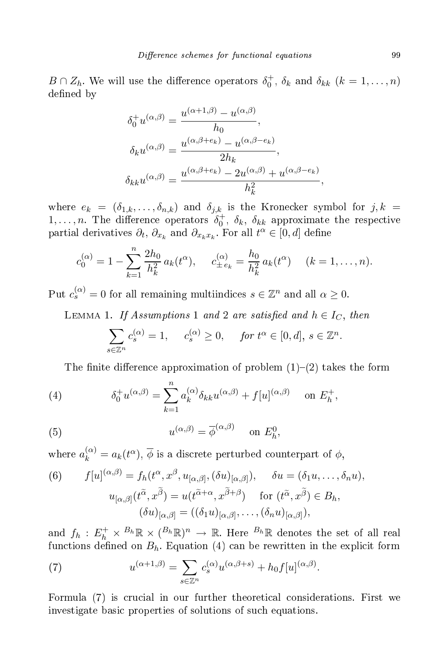$B \cap Z_h$ . We will use the difference operators  $\delta_0^+$ ,  $\delta_k$  and  $\delta_{kk}$   $(k = 1, \ldots, n)$ defined by

$$
\delta_0^+ u^{(\alpha,\beta)} = \frac{u^{(\alpha+1,\beta)} - u^{(\alpha,\beta)}}{h_0},
$$

$$
\delta_k u^{(\alpha,\beta)} = \frac{u^{(\alpha,\beta+e_k)} - u^{(\alpha,\beta-e_k)}}{2h_k},
$$

$$
\delta_{kk} u^{(\alpha,\beta)} = \frac{u^{(\alpha,\beta+e_k)} - 2u^{(\alpha,\beta)} + u^{(\alpha,\beta-e_k)}}{h_k^2},
$$

where  $e_k = (\delta_{1,k}, \ldots, \delta_{n,k})$  and  $\delta_{j,k}$  is the Kronecker symbol for  $j, k =$  $1, \ldots, n$ . The difference operators  $\delta_0^+$ ,  $\delta_k$ ,  $\delta_{kk}$  approximate the respective partial derivatives  $\partial_t$ ,  $\partial_{x_k}$  and  $\partial_{x_k x_k}$ . For all  $t^{\alpha} \in [0, d]$  define

$$
c_0^{(\alpha)} = 1 - \sum_{k=1}^n \frac{2h_0}{h_k^2} a_k(t^{\alpha}), \quad c_{\pm e_k}^{(\alpha)} = \frac{h_0}{h_k^2} a_k(t^{\alpha}) \quad (k = 1, \dots, n).
$$

Put  $c_s^{(\alpha)} = 0$  for all remaining multiindices  $s \in \mathbb{Z}^n$  and all  $\alpha \geq 0$ .

LEMMA 1. If Assumptions 1 and 2 are satisfied and  $h \in I_C$ , then

$$
\sum_{s \in \mathbb{Z}^n} c_s^{(\alpha)} = 1, \quad c_s^{(\alpha)} \ge 0, \quad \text{for } t^{\alpha} \in [0, d], s \in \mathbb{Z}^n
$$

The finite difference approximation of problem  $(1)-(2)$  takes the form

(4) 
$$
\delta_0^+ u^{(\alpha,\beta)} = \sum_{k=1}^n a_k^{(\alpha)} \delta_{kk} u^{(\alpha,\beta)} + f[u]^{(\alpha,\beta)} \quad \text{on } E_h^+,
$$

(5) 
$$
u^{(\alpha,\beta)} = \overline{\phi}^{(\alpha,\beta)} \quad \text{on } E_h^0,
$$

where  $a_k^{(\alpha)} = a_k(t^{\alpha}), \overline{\phi}$  is a discrete perturbed counterpart of  $\phi$ ,

(6) 
$$
f[u]^{(\alpha,\beta)} = f_h(t^{\alpha}, x^{\beta}, u_{[\alpha,\beta]}, (\delta u)_{[\alpha,\beta]}), \quad \delta u = (\delta_1 u, \dots, \delta_n u),
$$

$$
u_{[\alpha,\beta]}(t^{\widetilde{\alpha}}, x^{\widetilde{\beta}}) = u(t^{\widetilde{\alpha}+\alpha}, x^{\widetilde{\beta}+\beta}) \quad \text{for } (t^{\widetilde{\alpha}}, x^{\widetilde{\beta}}) \in B_h,
$$

$$
(\delta u)_{[\alpha,\beta]} = ((\delta_1 u)_{[\alpha,\beta]}, \dots, (\delta_n u)_{[\alpha,\beta]}),
$$

and  $f_h: E_h^+ \times B_h \mathbb{R} \times (B_h \mathbb{R})^n \to \mathbb{R}$ . Here  $B_h \mathbb{R}$  denotes the set of all real functions defined on  $B_h$ . Equation (4) can be rewritten in the explicit form

(7) 
$$
u^{(\alpha+1,\beta)} = \sum_{s \in \mathbb{Z}^n} c_s^{(\alpha)} u^{(\alpha,\beta+s)} + h_0 f[u]^{(\alpha,\beta)}.
$$

Formula (7) is crucial in our further theoretical considerations. First we investigate basic properties of solutions of such equations.

.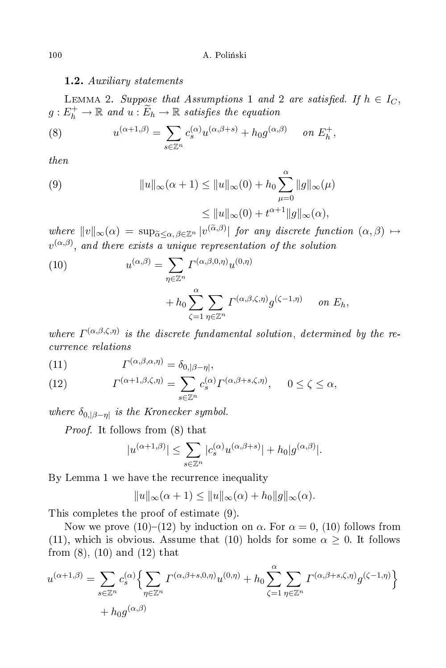1.2. Auxiliary statements

LEMMA 2. Suppose that Assumptions 1 and 2 are satisfied. If  $h \in I_C$ ,  $g: E_h^+ \to \mathbb{R}$  and  $u: \widetilde{E}_h \to \mathbb{R}$  satisfies the equation

(8) 
$$
u^{(\alpha+1,\beta)} = \sum_{s \in \mathbb{Z}^n} c_s^{(\alpha)} u^{(\alpha,\beta+s)} + h_0 g^{(\alpha,\beta)} \quad \text{on } E_h^+,
$$

then

(9) 
$$
||u||_{\infty}(\alpha+1) \le ||u||_{\infty}(0) + h_0 \sum_{\mu=0}^{\alpha} ||g||_{\infty}(\mu)
$$

$$
\le ||u||_{\infty}(0) + t^{\alpha+1} ||g||_{\infty}(\alpha),
$$

where  $||v||_{\infty}(\alpha) = \sup_{\tilde{\alpha} \leq \alpha, \beta \in \mathbb{Z}^n} |v^{(\tilde{\alpha}, \beta)}|$  for any discrete function  $(\alpha, \beta) \mapsto$  $v^{(\alpha,\beta)}$ , and there exists a unique representation of the solution

(10) 
$$
u^{(\alpha,\beta)} = \sum_{\eta \in \mathbb{Z}^n} \Gamma^{(\alpha,\beta,0,\eta)} u^{(0,\eta)} + h_0 \sum_{\zeta=1}^{\alpha} \sum_{\eta \in \mathbb{Z}^n} \Gamma^{(\alpha,\beta,\zeta,\eta)} g^{(\zeta-1,\eta)} \quad on \ E_h,
$$

where  $\Gamma^{(\alpha,\beta,\zeta,\eta)}$  is the discrete fundamental solution, determined by the reurren
e relations

(11) 
$$
I^{(\alpha,\beta,\alpha,\eta)} = \delta_{0,|\beta-\eta|},
$$

(12) 
$$
\Gamma^{(\alpha+1,\beta,\zeta,\eta)} = \sum_{s \in \mathbb{Z}^n} c_s^{(\alpha)} \Gamma^{(\alpha,\beta+s,\zeta,\eta)}, \quad 0 \le \zeta \le \alpha,
$$

where  $\delta_{0,|\beta-\eta|}$  is the Kronecker symbol.

Proof. It follows from (8) that

$$
|u^{(\alpha+1,\beta)}|\leq \sum_{s\in\mathbb{Z}^n}|c_s^{(\alpha)}u^{(\alpha,\beta+s)}|+h_0|g^{(\alpha,\beta)}|.
$$

By Lemma 1 we have the recurrence inequality

$$
||u||_{\infty}(\alpha+1) \le ||u||_{\infty}(\alpha) + h_0||g||_{\infty}(\alpha).
$$

This ompletes the proof of estimate (9).

Now we prove (10)–(12) by induction on  $\alpha$ . For  $\alpha = 0$ , (10) follows from (11), which is obvious. Assume that (10) holds for some  $\alpha \geq 0$ . It follows from (8), (10) and (12) that

$$
u^{(\alpha+1,\beta)} = \sum_{s \in \mathbb{Z}^n} c_s^{(\alpha)} \Biggl\{ \sum_{\eta \in \mathbb{Z}^n} \Gamma^{(\alpha,\beta+s,0,\eta)} u^{(0,\eta)} + h_0 \sum_{\zeta=1}^{\alpha} \sum_{\eta \in \mathbb{Z}^n} \Gamma^{(\alpha,\beta+s,\zeta,\eta)} g^{(\zeta-1,\eta)} \Biggr\} + h_0 g^{(\alpha,\beta)}
$$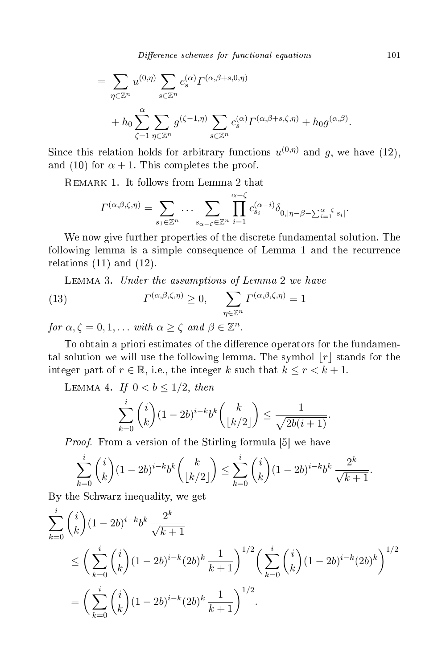Difference schemes for functional equations 101

$$
= \sum_{\eta \in \mathbb{Z}^n} u^{(0,\eta)} \sum_{s \in \mathbb{Z}^n} c_s^{(\alpha)} \Gamma^{(\alpha,\beta+s,0,\eta)} + h_0 \sum_{\zeta=1}^{\alpha} \sum_{\eta \in \mathbb{Z}^n} g^{(\zeta-1,\eta)} \sum_{s \in \mathbb{Z}^n} c_s^{(\alpha)} \Gamma^{(\alpha,\beta+s,\zeta,\eta)} + h_0 g^{(\alpha,\beta)}.
$$

Since this relation holds for arbitrary functions  $u^{(0,\eta)}$  and g, we have (12), and (10) for  $\alpha + 1$ . This completes the proof.

Remark 1. It follows from Lemma 2 that

$$
\Gamma^{(\alpha,\beta,\zeta,\eta)} = \sum_{s_1 \in \mathbb{Z}^n} \dots \sum_{s_{\alpha-\zeta} \in \mathbb{Z}^n} \prod_{i=1}^{\alpha-\zeta} c_{s_i}^{(\alpha-i)} \delta_{0,|\eta-\beta-\sum_{i=1}^{\alpha-\zeta} s_i|}.
$$

We now give further properties of the discrete fundamental solution. The following lemma is a simple onsequen
e of Lemma 1 and the re
urren
e relations  $(11)$  and  $(12)$ .

Lemma 3. Under the assumptions of Lemma 2 we have

(13) 
$$
\Gamma^{(\alpha,\beta,\zeta,\eta)} \geq 0, \quad \sum_{\eta \in \mathbb{Z}^n} \Gamma^{(\alpha,\beta,\zeta,\eta)} = 1
$$

for  $\alpha, \zeta = 0, 1, \ldots$  with  $\alpha \geq \zeta$  and  $\beta \in \mathbb{Z}^n$ .

To obtain a priori estimates of the difference operators for the fundamental solution we will use the following lemma. The symbol  $|r|$  stands for the integer part of  $r \in \mathbb{R}$ , i.e., the integer k such that  $k \leq r < k+1$ .

LEMMA 4. If  $0 < b \leq 1/2$ , then

$$
\sum_{k=0}^i \binom{i}{k} (1-2b)^{i-k} b^k \binom{k}{\lfloor k/2 \rfloor} \le \frac{1}{\sqrt{2b(i+1)}}.
$$

*Proof.* From a version of the Stirling formula [5] we have

$$
\sum_{k=0}^{i} {i \choose k} (1-2b)^{i-k} b^k {k \choose \lfloor k/2 \rfloor} \le \sum_{k=0}^{i} {i \choose k} (1-2b)^{i-k} b^k \frac{2^k}{\sqrt{k+1}}.
$$

By the S
hwarz inequality, we get

$$
\sum_{k=0}^{i} {i \choose k} (1-2b)^{i-k} b^k \frac{2^k}{\sqrt{k+1}}
$$
\n
$$
\leq \left(\sum_{k=0}^{i} {i \choose k} (1-2b)^{i-k} (2b)^k \frac{1}{k+1}\right)^{1/2} \left(\sum_{k=0}^{i} {i \choose k} (1-2b)^{i-k} (2b)^k\right)^{1/2}
$$
\n
$$
= \left(\sum_{k=0}^{i} {i \choose k} (1-2b)^{i-k} (2b)^k \frac{1}{k+1}\right)^{1/2}.
$$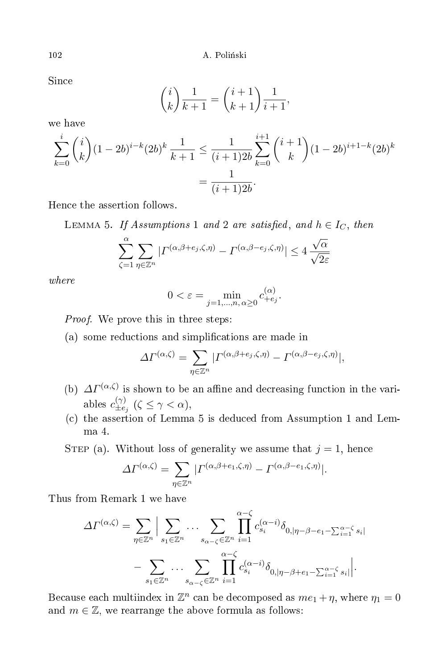Since

$$
\binom{i}{k} \frac{1}{k+1} = \binom{i+1}{k+1} \frac{1}{i+1},
$$

we have

$$
\sum_{k=0}^{i} {i \choose k} (1-2b)^{i-k} (2b)^k \frac{1}{k+1} \le \frac{1}{(i+1)2b} \sum_{k=0}^{i+1} {i+1 \choose k} (1-2b)^{i+1-k} (2b)^k
$$

$$
= \frac{1}{(i+1)2b}.
$$

Hen
e the assertion follows.

LEMMA 5. If Assumptions 1 and 2 are satisfied, and  $h \in I_C$ , then

$$
\sum_{\zeta=1}^{\alpha} \sum_{\eta \in \mathbb{Z}^n} | \varGamma^{(\alpha,\beta+e_j,\zeta,\eta)} - \varGamma^{(\alpha,\beta-e_j,\zeta,\eta)} | \leq 4 \frac{\sqrt{\alpha}}{\sqrt{2\varepsilon}}
$$

 $where$ 

$$
0 < \varepsilon = \min_{j=1,\dots,n,\,\alpha \ge 0} c_{+e_j}^{(\alpha)}.
$$

*Proof.* We prove this in three steps:

(a) some redu
tions and simpli
ations are made in

$$
\Delta\Gamma^{(\alpha,\zeta)} = \sum_{\eta \in \mathbb{Z}^n} | \Gamma^{(\alpha,\beta+e_j,\zeta,\eta)} - \Gamma^{(\alpha,\beta-e_j,\zeta,\eta)} |,
$$

- (b)  $\Delta \Gamma^{(\alpha,\zeta)}$  is shown to be an affine and decreasing function in the variables  $c_{\pm e}^{(\gamma)}$  $\sum_{\pm e_j}^{(\gamma)} (\zeta \leq \gamma < \alpha),$
- (
) the assertion of Lemma 5 is dedu
ed from Assumption 1 and Lem $ma<sub>4</sub>$ .

STEP (a). Without loss of generality we assume that  $j = 1$ , hence

$$
\Delta\Gamma^{(\alpha,\zeta)} = \sum_{\eta \in \mathbb{Z}^n} | \Gamma^{(\alpha,\beta+e_1,\zeta,\eta)} - \Gamma^{(\alpha,\beta-e_1,\zeta,\eta)} |.
$$

Thus from Remark 1 we have

$$
\Delta\Gamma^{(\alpha,\zeta)} = \sum_{\eta \in \mathbb{Z}^n} \Big| \sum_{s_1 \in \mathbb{Z}^n} \dots \sum_{s_{\alpha-\zeta} \in \mathbb{Z}^n} \prod_{i=1}^{\alpha-\zeta} c_{s_i}^{(\alpha-i)} \delta_{0,|\eta-\beta-e_1-\sum_{i=1}^{\alpha-\zeta} s_i|}
$$

$$
- \sum_{s_1 \in \mathbb{Z}^n} \dots \sum_{s_{\alpha-\zeta} \in \mathbb{Z}^n} \prod_{i=1}^{\alpha-\zeta} c_{s_i}^{(\alpha-i)} \delta_{0,|\eta-\beta+e_1-\sum_{i=1}^{\alpha-\zeta} s_i|} \Big|.
$$

Because each multiindex in  $\mathbb{Z}^n$  can be decomposed as  $me_1 + \eta$ , where  $\eta_1 = 0$ and  $m \in \mathbb{Z}$ , we rearrange the above formula as follows: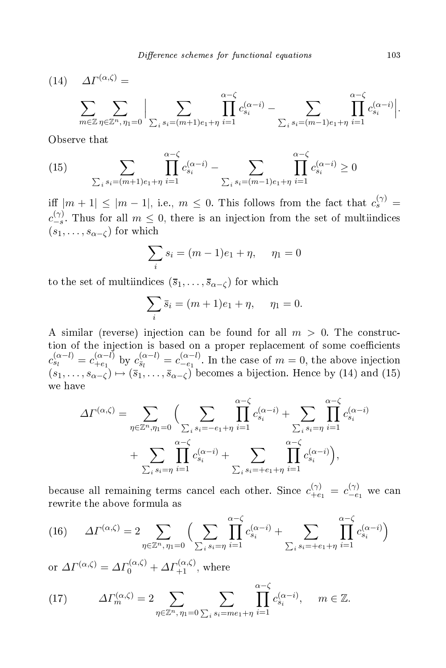(14)  $\Delta \Gamma^{(\alpha,\zeta)} =$ 

$$
\sum_{m \in \mathbb{Z}} \sum_{\eta \in \mathbb{Z}^n, \eta_1 = 0} \Big| \sum_{\sum_i s_i = (m+1)e_1 + \eta} \prod_{i=1}^{\alpha - \zeta} c_{s_i}^{(\alpha - i)} - \sum_{\sum_i s_i = (m-1)e_1 + \eta} \prod_{i=1}^{\alpha - \zeta} c_{s_i}^{(\alpha - i)} \Big|.
$$

Observe that

(15) 
$$
\sum_{\sum_{i} s_i = (m+1)e_1 + \eta} \prod_{i=1}^{\alpha - \zeta} c_{s_i}^{(\alpha - i)} - \sum_{\sum_{i} s_i = (m-1)e_1 + \eta} \prod_{i=1}^{\alpha - \zeta} c_{s_i}^{(\alpha - i)} \ge 0
$$

iff  $|m + 1| \le |m - 1|$ , i.e.,  $m \le 0$ . This follows from the fact that  $c_s^{(\gamma)} =$  $c_{-s}^{(\gamma)}$  $\frac{f(t)}{-s}$ . Thus for all  $m \leq 0$ , there is an injection from the set of multiindices  $(s_1, \ldots, s_{\alpha-\zeta})$  for which

$$
\sum_{i} s_i = (m-1)e_1 + \eta, \quad \eta_1 = 0
$$

to the set of multiindices  $(\bar{s}_1, \ldots, \bar{s}_{\alpha-\zeta})$  for which

$$
\sum_{i} \bar{s}_{i} = (m+1)e_1 + \eta, \quad \eta_1 = 0.
$$

A similar (reverse) injection can be found for all  $m > 0$ . The construction of the injection is based on a proper replacement of some coefficients  $c_{s_l}^{(\alpha-l)} = c_{+e_1}^{(\alpha-l)}$  $\sum_{i+e_1}^{(\alpha-l)}$  by  $c_{\bar{s}_l}^{(\alpha-l)} = c_{-e_1}^{(\alpha-l)}$  $\frac{a^{(n-1)}}{-e_1}$ . In the case of  $m=0$ , the above injection  $(s_1, \ldots, s_{\alpha-\zeta}) \mapsto (\overline{s}_1, \ldots, \overline{s}_{\alpha-\zeta})$  becomes a bijection. Hence by (14) and (15) we have

$$
\Delta\Gamma^{(\alpha,\zeta)} = \sum_{\eta \in \mathbb{Z}^n, \eta_1 = 0} \Big( \sum_{\substack{\sum_i s_i = -e_1 + \eta \\ \sum_i s_i = \eta}} \prod_{i=1}^{\alpha - \zeta} c_{s_i}^{(\alpha - i)} + \sum_{\substack{\sum_i s_i = \eta \\ \sum_i s_i = \eta}} \prod_{i=1}^{\alpha - \zeta} c_{s_i}^{(\alpha - i)} + \sum_{\substack{\sum_i s_i = \eta \\ \sum_i s_i = +e_1 + \eta}} \prod_{i=1}^{\alpha - \zeta} c_{s_i}^{(\alpha - i)} \Big),
$$

because all remaining terms cancel each other. Since  $c_{+e_1}^{(\gamma)} = c_{-e}^{(\gamma)}$  $-e_1$  we can rewrite the above formula as

(16) 
$$
\Delta \Gamma^{(\alpha,\zeta)} = 2 \sum_{\eta \in \mathbb{Z}^n, \eta_1 = 0} \Big( \sum_{\sum_i s_i = \eta} \prod_{i=1}^{\alpha - \zeta} c_{s_i}^{(\alpha - i)} + \sum_{\sum_i s_i = +e_1 + \eta} \prod_{i=1}^{\alpha - \zeta} c_{s_i}^{(\alpha - i)} \Big)
$$

or  $\Delta\Gamma^{(\alpha,\zeta)} = \Delta\Gamma_0^{(\alpha,\zeta)} + \Delta\Gamma_{+1}^{(\alpha,\zeta)}$ , where

(17) 
$$
\Delta\Gamma_m^{(\alpha,\zeta)} = 2 \sum_{\eta \in \mathbb{Z}^n, \eta_1 = 0} \sum_{\sum_i s_i = me_1 + \eta} \prod_{i=1}^{\alpha - \zeta} c_{s_i}^{(\alpha - i)}, \quad m \in \mathbb{Z}.
$$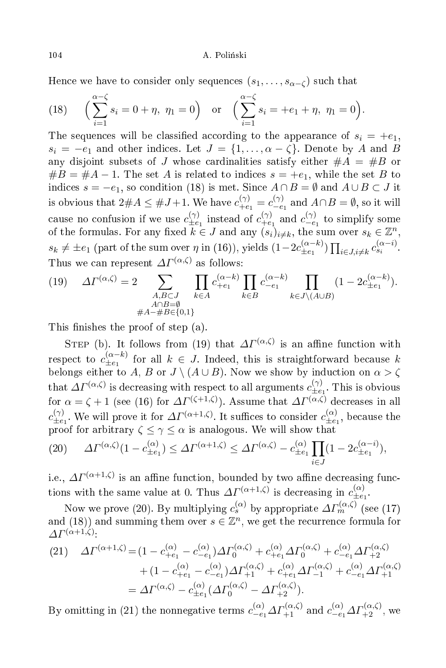Hence we have to consider only sequences  $(s_1, \ldots, s_{\alpha-\zeta})$  such that

(18) 
$$
\left(\sum_{i=1}^{\alpha-\zeta} s_i = 0 + \eta, \ \eta_1 = 0\right)
$$
 or  $\left(\sum_{i=1}^{\alpha-\zeta} s_i = +e_1 + \eta, \ \eta_1 = 0\right)$ .

The sequences will be classified according to the appearance of  $s_i = +e_1$ ,  $s_i = -e_1$  and other indices. Let  $J = \{1, ..., \alpha - \zeta\}$ . Denote by A and B any disjoint subsets of J whose cardinalities satisfy either  $#A = #B$  or  $#B = #A - 1.$  The set A is related to indices  $s = +e_1$ , while the set B to indices  $s = -e_1$ , so condition (18) is met. Since  $A \cap B = \emptyset$  and  $A \cup B \subset J$  it is obvious that  $2\#A \leq \#J+1$ . We have  $c_{+e_1}^{(\gamma)} = c_{-e_1}^{(\gamma)}$  and  $A \cap B = \emptyset$ , so it will cause no confusion if we use  $c_{\pm e_1}^{(\gamma)}$  instead of  $c_{+e_1}^{(\gamma)}$  and  $c_{-e_1}^{(\gamma)}$  to simplify some of the formulas. For any fixed  $k \in J$  and any  $(s_i)_{i \neq k}$ , the sum over  $s_k \in \mathbb{Z}^n$ ,  $s_k \neq \pm e_1$  (part of the sum over  $\eta$  in (16)), yields  $(1-2c_{\pm e_1}^{(\alpha-k)})\prod_{i\in J, i\neq k}c_{s_i}^{(\alpha-i)}$ . Thus we can represent  $\Delta\Gamma^{(\alpha,\zeta)}$  as follows:

(19) 
$$
\Delta \Gamma^{(\alpha,\zeta)} = 2 \sum_{\substack{A,B \subset J \\ A \cap B = \emptyset \\ \#A - \#B \in \{0,1\}}} \prod_{k \in A} c_{+e_1}^{(\alpha-k)} \prod_{k \in B} c_{-e_1}^{(\alpha-k)} \prod_{k \in J \setminus (A \cup B)} (1 - 2c_{\pm e_1}^{(\alpha-k)}).
$$

This finishes the proof of step (a).

STEP (b). It follows from (19) that  $\Delta\Gamma^{(\alpha,\zeta)}$  is an affine function with respect to  $c_{\pm e_1}^{(\alpha-k)}$  for all  $k \in J$ . Indeed, this is straightforward because k belongs either to A, B or  $J \setminus (A \cup B)$ . Now we show by induction on  $\alpha > \zeta$ that  $\Delta \Gamma^{(\alpha,\zeta)}$  is decreasing with respect to all arguments  $c_{\pm e_1}^{(\gamma)}$ . This is obvious for  $\alpha = \zeta + 1$  (see (16) for  $\Delta \Gamma^{(\zeta+1,\zeta)}$ ). Assume that  $\Delta \Gamma^{(\alpha,\zeta)}$  decreases in all  $c_{\pm e_1}^{(\gamma)}$ . We will prove it for  $\Delta \Gamma^{(\alpha+1,\zeta)}$ . It suffices to consider  $c_{\pm e_1}^{(\alpha)}$ , because the proof for arbitrary  $\zeta \leq \gamma \leq \alpha$  is analogous. We will show that

(20) 
$$
\Delta \Gamma^{(\alpha,\zeta)}(1-c_{\pm e_1}^{(\alpha)}) \leq \Delta \Gamma^{(\alpha+1,\zeta)} \leq \Delta \Gamma^{(\alpha,\zeta)} - c_{\pm e_1}^{(\alpha)} \prod_{i \in J} (1-2c_{\pm e_1}^{(\alpha-i)}),
$$

i.e.,  $\Delta \Gamma^{(\alpha+1,\zeta)}$  is an affine function, bounded by two affine decreasing func-

tions with the same value at 0. Thus  $\Delta \Gamma^{(\alpha+1,\zeta)}$  is decreasing in  $c_{\pm e_1}^{(\alpha)}$ .<br>Now we prove (20). By multiplying  $c_s^{(\alpha)}$  by appropriate  $\Delta \Gamma_m^{(\alpha,\zeta)}$  (see (17) and (18)) and summing them over  $s \in \mathbb{Z}^n$ , we get the recurrence formula for  $\Lambda\varGamma^{(\alpha+1,\zeta)}.$ 

(21) 
$$
\Delta \Gamma^{(\alpha+1,\zeta)} = (1 - c_{+e_1}^{(\alpha)} - c_{-e_1}^{(\alpha)}) \Delta \Gamma_0^{(\alpha,\zeta)} + c_{+e_1}^{(\alpha)} \Delta \Gamma_0^{(\alpha,\zeta)} + c_{-e_1}^{(\alpha)} \Delta \Gamma_{+2}^{(\alpha,\zeta)} + (1 - c_{+e_1}^{(\alpha)} - c_{-e_1}^{(\alpha)}) \Delta \Gamma_{+1}^{(\alpha,\zeta)} + c_{+e_1}^{(\alpha)} \Delta \Gamma_{-1}^{(\alpha,\zeta)} + c_{-e_1}^{(\alpha)} \Delta \Gamma_{+1}^{(\alpha,\zeta)} = \Delta \Gamma^{(\alpha,\zeta)} - c_{\pm e_1}^{(\alpha)} (\Delta \Gamma_0^{(\alpha,\zeta)} - \Delta \Gamma_{+2}^{(\alpha,\zeta)}).
$$

By omitting in (21) the nonnegative terms  $c_{-e_1}^{(\alpha)} \Delta \Gamma_{+1}^{(\alpha,\zeta)}$  and  $c_{-e_1}^{(\alpha)} \Delta \Gamma_{+2}^{(\alpha,\zeta)}$ , we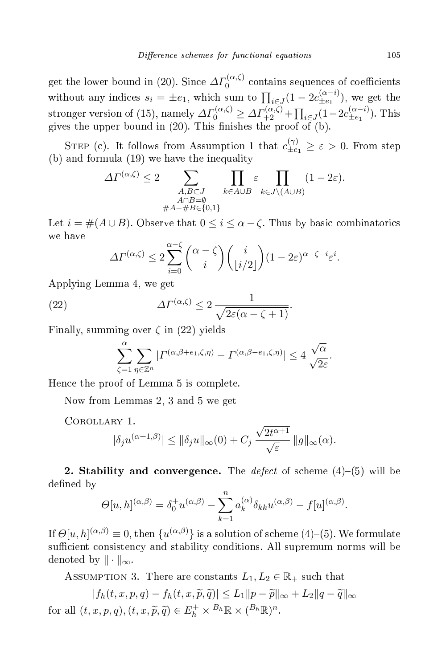get the lower bound in (20). Since  $\Delta\Gamma_0^{(\alpha,\zeta)}$  contains sequences of coefficients without any indices  $s_i = \pm e_1$ , which sum to  $\prod_{i \in J} (1 - 2c_{\pm e_1}^{(\alpha - i)})$ , we get the  $(\mathfrak{t}^{\alpha-\iota}_{\pm e_1}),$  we get the stronger version of (15), namely  $\Delta\Gamma_0^{(\alpha,\zeta)} \geq \Delta\Gamma_{+2}^{(\alpha,\zeta)} + \prod_{i \in J} (1 - 2c_{\pm e_1}^{(\alpha-i)})$  $(\mathfrak{t}^{\alpha-i}_{\pm e_1})$ . This gives the upper bound in  $(20)$ . This finishes the proof of  $(b)$ .

STEP (c). It follows from Assumption 1 that  $c_{\pm e_1}^{(\gamma)} \geq \varepsilon > 0$ . From step (b) and formula (19) we have the inequality

$$
\Delta\Gamma^{(\alpha,\zeta)} \le 2 \sum_{\substack{A,B \subset J \\ A \cap B = \emptyset \\ \#A - \#B \in \{0,1\}}} \prod_{k \in A \cup B} \varepsilon \prod_{k \in J \setminus (A \cup B)} (1 - 2\varepsilon).
$$

Let  $i = \#(A \cup B)$ . Observe that  $0 \leq i \leq \alpha - \zeta$ . Thus by basic combinatorics we have

$$
\Delta \Gamma^{(\alpha,\zeta)} \leq 2\sum_{i=0}^{\alpha-\zeta} \binom{\alpha-\zeta}{i} \binom{i}{\lfloor i/2 \rfloor} (1-2\varepsilon)^{\alpha-\zeta-i} \varepsilon^i.
$$

Applying Lemma 4, we get

(22) 
$$
\Delta \Gamma^{(\alpha,\zeta)} \leq 2 \frac{1}{\sqrt{2\varepsilon(\alpha - \zeta + 1)}}.
$$

Finally, summing over  $\zeta$  in (22) yields

$$
\sum_{\zeta=1}^{\alpha} \sum_{\eta \in \mathbb{Z}^n} | \Gamma^{(\alpha,\beta+e_1,\zeta,\eta)} - \Gamma^{(\alpha,\beta-e_1,\zeta,\eta)} | \leq 4 \frac{\sqrt{\alpha}}{\sqrt{2\varepsilon}}.
$$

Hen
e the proof of Lemma 5 is omplete.

Now from Lemmas 2, 3 and 5 we get

Corollary 1.

$$
|\delta_j u^{(\alpha+1,\beta)}| \le ||\delta_j u||_{\infty}(0) + C_j \frac{\sqrt{2t^{\alpha+1}}}{\sqrt{\varepsilon}} ||g||_{\infty}(\alpha).
$$

2. Stability and convergence. The *defect* of scheme  $(4)$ – $(5)$  will be defined by

$$
\Theta[u,h]^{(\alpha,\beta)} = \delta_0^+ u^{(\alpha,\beta)} - \sum_{k=1}^n a_k^{(\alpha)} \delta_{kk} u^{(\alpha,\beta)} - f[u]^{(\alpha,\beta)}.
$$

If  $\Theta[u,h]^{(\alpha,\beta)}\equiv 0$ , then  $\{u^{(\alpha,\beta)}\}$  is a solution of scheme (4)–(5). We formulate sufficient consistency and stability conditions. All supremum norms will be denoted by  $\|\cdot\|_{\infty}$ .

ASSUMPTION 3. There are constants  $L_1, L_2 \in \mathbb{R}_+$  such that

$$
|f_h(t, x, p, q) - f_h(t, x, \widetilde{p}, \widetilde{q})| \le L_1 ||p - \widetilde{p}||_{\infty} + L_2 ||q - \widetilde{q}||_{\infty}
$$
  
for all  $(t, x, p, q), (t, x, \widetilde{p}, \widetilde{q}) \in E_h^+ \times B_h \mathbb{R} \times (B_h \mathbb{R})^n$ .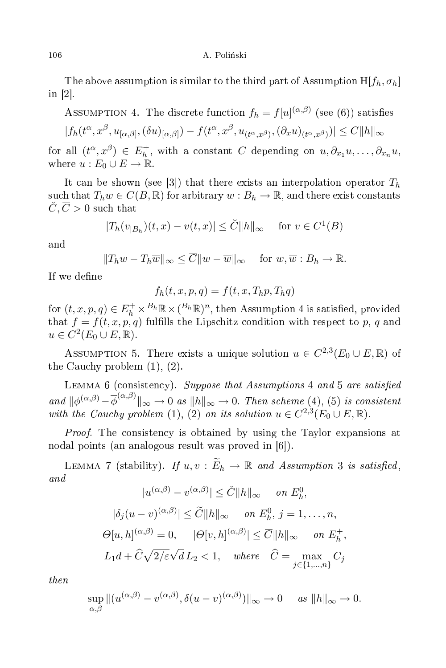The above assumption is similar to the third part of Assumption  $H[f_h, \sigma_h]$ in  $[2]$ .

Assumption 4. The discrete function  $f_h = f[u]^{(\alpha,\beta)}$  (see (6)) satisfies

$$
|f_h(t^{\alpha}, x^{\beta}, u_{[\alpha, \beta]}, (\delta u)_{[\alpha, \beta]}) - f(t^{\alpha}, x^{\beta}, u_{(t^{\alpha}, x^{\beta})}, (\partial_x u)_{(t^{\alpha}, x^{\beta})})| \leq C ||h||_{\infty}
$$

for all  $(t^{\alpha}, x^{\beta}) \in E_h^+$  $\hat{a}_h^+$ , with a constant C depending on  $u, \partial_{x_1} u, \ldots, \partial_{x_n} u,$ where  $u: E_0 \cup E \to \mathbb{R}$ .

It can be shown (see [3]) that there exists an interpolation operator  $T_h$ such that  $T_h w \in C(B, \mathbb{R})$  for arbitrary  $w : B_h \to \mathbb{R}$ , and there exist constants  $\check{C}, \overline{C} > 0$  such that

$$
|T_h(v_{|B_h})(t,x) - v(t,x)| \leq \check{C} ||h||_{\infty} \quad \text{ for } v \in C^1(B)
$$

and

$$
||T_hw - T_h\overline{w}||_{\infty} \le \overline{C}||w - \overline{w}||_{\infty}
$$
 for  $w, \overline{w}: B_h \to \mathbb{R}$ .

If we define

$$
f_h(t, x, p, q) = f(t, x, T_h p, T_h q)
$$

for  $(t, x, p, q) \in E_h^+ \times B_h \mathbb{R} \times (B_h \mathbb{R})^n$ , then Assumption 4 is satisfied, provided that  $f = f(t, x, p, q)$  fulfills the Lipschitz condition with respect to p, q and  $u \in C^2(E_0 \cup E, \mathbb{R}).$ 

ASSUMPTION 5. There exists a unique solution  $u \in C^{2,3}(E_0 \cup E,\mathbb{R})$  of the Cau
hy problem (1), (2).

LEMMA 6 (consistency). Suppose that Assumptions 4 and 5 are satisfied and  $\|\phi^{(\alpha,\beta)}-\overline{\phi}^{(\alpha,\beta)}\|_{\infty}\to 0$  as  $\|h\|_{\infty}\to 0$ . Then scheme (4), (5) is consistent with the Cauchy problem (1), (2) on its solution  $u \in C^{2,3}(E_0 \cup E,\mathbb{R})$ .

*Proof.* The consistency is obtained by using the Taylor expansions at nodal points (an analogous result was proved in  $[6]$ ).

LEMMA 7 (stability). If  $u, v : \widetilde{E}_h \to \mathbb{R}$  and Assumption 3 is satisfied, and

$$
|u^{(\alpha,\beta)} - v^{(\alpha,\beta)}| \leq \check{C} ||h||_{\infty} \quad \text{on } E_h^0,
$$
  

$$
|\delta_j(u - v)^{(\alpha,\beta)}| \leq \widetilde{C} ||h||_{\infty} \quad \text{on } E_h^0, j = 1, ..., n,
$$
  

$$
\Theta[u, h]^{(\alpha,\beta)} = 0, \quad |\Theta[v, h]^{(\alpha,\beta)}| \leq \overline{C} ||h||_{\infty} \quad \text{on } E_h^+,
$$
  

$$
L_1 d + \widehat{C} \sqrt{2/\varepsilon} \sqrt{d} L_2 < 1, \quad \text{where } \quad \widehat{C} = \max_{j \in \{1, ..., n\}} C_j
$$

then

$$
\sup_{\alpha,\beta} \|(u^{(\alpha,\beta)} - v^{(\alpha,\beta)}, \delta(u-v)^{(\alpha,\beta)})\|_{\infty} \to 0 \quad \text{as } \|h\|_{\infty} \to 0.
$$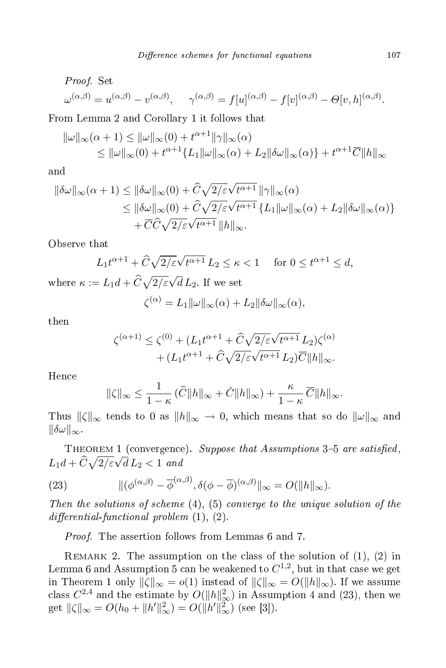*Proof.* Set  
\n
$$
\omega^{(\alpha,\beta)} = u^{(\alpha,\beta)} - v^{(\alpha,\beta)}, \quad \gamma^{(\alpha,\beta)} = f[u]^{(\alpha,\beta)} - f[v]^{(\alpha,\beta)} - \Theta[v,h]^{(\alpha,\beta)}.
$$

From Lemma 2 and Corollary 1 it follows that

$$
\|\omega\|_{\infty}(\alpha+1) \le \|\omega\|_{\infty}(0) + t^{\alpha+1} \|\gamma\|_{\infty}(\alpha)
$$
  
\$\le \|\omega\|\_{\infty}(0) + t^{\alpha+1} \{L\_1\|\omega\|\_{\infty}(\alpha) + L\_2 \|\delta\omega\|\_{\infty}(\alpha) \} + t^{\alpha+1} \overline{C} \|h\|\_{\infty}\$

and

$$
\|\delta\omega\|_{\infty}(\alpha+1) \leq \|\delta\omega\|_{\infty}(0) + \hat{C}\sqrt{2/\varepsilon}\sqrt{t^{\alpha+1}} \|\gamma\|_{\infty}(\alpha)
$$
  

$$
\leq \|\delta\omega\|_{\infty}(0) + \hat{C}\sqrt{2/\varepsilon}\sqrt{t^{\alpha+1}} \{L_1\|\omega\|_{\infty}(\alpha) + L_2\|\delta\omega\|_{\infty}(\alpha)\}
$$
  

$$
+ \overline{C}\hat{C}\sqrt{2/\varepsilon}\sqrt{t^{\alpha+1}} \|\hbar\|_{\infty}.
$$

Observe that

$$
L_1 t^{\alpha+1} + \widehat{C} \sqrt{2/\varepsilon} \sqrt{t^{\alpha+1}} L_2 \le \kappa < 1 \quad \text{ for } 0 \le t^{\alpha+1} \le d,
$$
  
where  $\kappa := L_1 d + \widehat{C} \sqrt{2/\varepsilon} \sqrt{d} L_2$ . If we set

$$
\zeta^{(\alpha)} = L_1 \|\omega\|_{\infty}(\alpha) + L_2 \|\delta\omega\|_{\infty}(\alpha),
$$

then

$$
\label{eq:zeta} \begin{split} \zeta^{(\alpha+1)} \leq \zeta^{(0)} + (L_1 t^{\alpha+1} + \widehat{C} \sqrt{2/\varepsilon} \sqrt{t^{\alpha+1}} \, L_2) \zeta^{(\alpha)} \\ + (L_1 t^{\alpha+1} + \widehat{C} \sqrt{2/\varepsilon} \sqrt{t^{\alpha+1}} \, L_2) \overline{C} \|h\|_\infty. \end{split}
$$

Hen
e

$$
\|\zeta\|_{\infty} \leq \frac{1}{1-\kappa} \left( \widetilde{C} \|h\|_{\infty} + \widetilde{C} \|h\|_{\infty} \right) + \frac{\kappa}{1-\kappa} \overline{C} \|h\|_{\infty}.
$$

Thus  $\|\zeta\|_{\infty}$  tends to 0 as  $\|h\|_{\infty} \to 0$ , which means that so do  $\|\omega\|_{\infty}$  and  $\|\delta\omega\|_{\infty}$ .

THEOREM 1 (convergence). Suppose that Assumptions 3-5 are satisfied,  $L_1d + \widehat{C}\sqrt{2/\varepsilon}\sqrt{d} L_2 < 1$  and

(23) 
$$
\|(\phi^{(\alpha,\beta)}-\overline{\phi}^{(\alpha,\beta)},\delta(\phi-\overline{\phi})^{(\alpha,\beta)}\|_{\infty}=O(\|h\|_{\infty}).
$$

Then the solutions of scheme  $(4)$ ,  $(5)$  converge to the unique solution of the  $differential-functional problem (1), (2).$ 

Proof. The assertion follows from Lemmas 6 and 7.

REMARK 2. The assumption on the class of the solution of  $(1)$ ,  $(2)$  in Lemma 6 and Assumption 5 can be weakened to  $C^{1,2}$ , but in that case we get in Theorem 1 only  $\|\zeta\|_{\infty} = o(1)$  instead of  $\|\zeta\|_{\infty} = O(\|h\|_{\infty})$ . If we assume class  $C^{2,4}$  and the estimate by  $O(||h||^2_{\infty})$  in Assumption 4 and (23), then we get  $\|\zeta\|_{\infty} = O(h_0 + \|h'\|_{\infty}^2) = O(\|h'\|_{\infty}^2)$  (see [3]).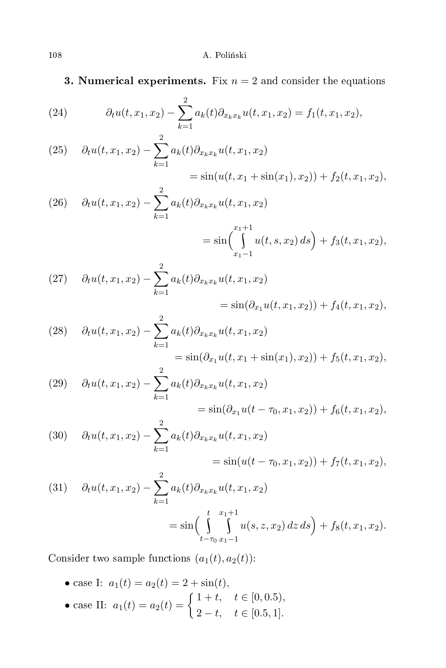**3. Numerical experiments.** Fix  $n = 2$  and consider the equations

(24) 
$$
\partial_t u(t, x_1, x_2) - \sum_{k=1}^2 a_k(t) \partial_{x_k x_k} u(t, x_1, x_2) = f_1(t, x_1, x_2),
$$

(25) 
$$
\partial_t u(t, x_1, x_2) - \sum_{k=1}^2 a_k(t) \partial_{x_k x_k} u(t, x_1, x_2)
$$

$$
= \sin(u(t, x_1 + \sin(x_1), x_2)) + f_2(t, x_1, x_2),
$$

(26) 
$$
\partial_t u(t, x_1, x_2) - \sum_{k=1}^2 a_k(t) \partial_{x_k x_k} u(t, x_1, x_2)
$$

$$
= \sin\left(\int\limits_{x_1-1}^{x_1+1} u(t,s,x_2)\,ds\right) + f_3(t,x_1,x_2),
$$

(27) 
$$
\partial_t u(t, x_1, x_2) - \sum_{k=1}^2 a_k(t) \partial_{x_k x_k} u(t, x_1, x_2)
$$
  
=  $\sin(\partial_{x_1} u(t, x_1, x_2)) + f_4(t, x_1, x_2),$ 

(28) 
$$
\partial_t u(t, x_1, x_2) - \sum_{k=1}^2 a_k(t) \partial_{x_k x_k} u(t, x_1, x_2)
$$
  
=  $\sin(\partial_{x_1} u(t, x_1 + \sin(x_1), x_2)) + f_5(t, x_1, x_2),$ 

(29) 
$$
\partial_t u(t, x_1, x_2) - \sum_{k=1}^2 a_k(t) \partial_{x_k x_k} u(t, x_1, x_2)
$$

$$
= \sin(\partial_{x_1} u(t - \tau_0, x_1, x_2)) + f_6(t, x_1, x_2),
$$

(30) 
$$
\partial_t u(t, x_1, x_2) - \sum_{k=1}^2 a_k(t) \partial_{x_k x_k} u(t, x_1, x_2)
$$

$$
= \sin(u(t - \tau_0, x_1, x_2)) + f_7(t, x_1, x_2),
$$

(31) 
$$
\partial_t u(t, x_1, x_2) - \sum_{k=1}^2 a_k(t) \partial_{x_k x_k} u(t, x_1, x_2)
$$

$$
= \sin\left(\int_{t-\tau_0}^t \int_{x_1-1}^{x_1+1} u(s, z, x_2) dz ds\right) + f_8(t, x_1, x_2).
$$

Consider two sample functions  $(a_1(t), a_2(t))$ :

• case I:  $a_1(t) = a_2(t) = 2 + \sin(t)$ , • case II:  $a_1(t) = a_2(t) = \begin{cases} 1+t, & t \in [0,0.5), \\ 2-t, & t \in [0, 5, 1]. \end{cases}$  $2-t, \quad t \in [0.5, 1].$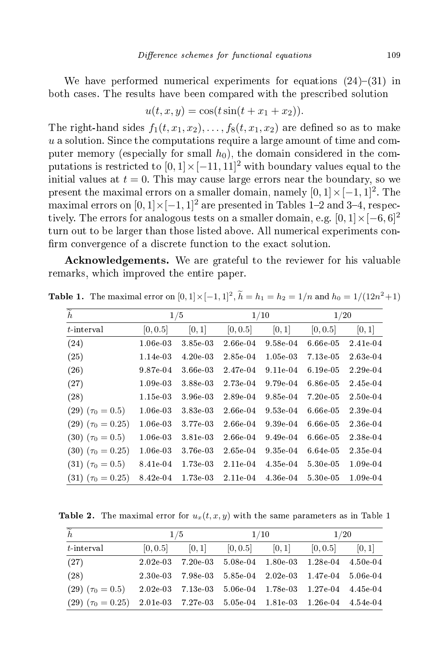We have performed numerical experiments for equations  $(24)$ – $(31)$  in both cases. The results have been compared with the prescribed solution both ases. The results have been ompared with the pres
ribed solution

$$
u(t, x, y) = \cos(t\sin(t + x_1 + x_2)).
$$

The right-hand sides  $f_1(t, x_1, x_2), \ldots, f_8(t, x_1, x_2)$  are defined so as to make  $u$  a solution. Since the computations require a large amount of time and computer memory (especially for small  $h_0$ ), the domain considered in the computations is restricted to  $[0,1] \times [-11,11]^2$  with boundary values equal to the initial values at  $t = 0$ . This may cause large errors near the boundary, so we present the maximal errors on a smaller domain, namely  $[0, 1] \times [-1, 1]^2$ . The maximal errors on  $[0,1] \times [-1,1]^2$  are presented in Tables 1–2 and 3–4, respectively. The errors for analogous tests on a smaller domain, e.g.  $[0, 1] \times [-6, 6]^2$ turn out to be larger than those listed above. All numerical experiments confirm convergence of a discrete function to the exact solution.

**Acknowledgements.** We are grateful to the reviewer for his valuable remarks, whi
h improved the entire paper.

| $\overline{\widetilde{h}}$ | 1/5        |          | 1/10     |          | 1/20       |            |
|----------------------------|------------|----------|----------|----------|------------|------------|
| $t$ interval               | [0, 0.5]   | [0, 1]   | [0, 0.5] | [0, 1]   | [0, 0.5]   | [0, 1]     |
| (24)                       | 1.06e 03   | 3.85e 03 | 2.66e 04 | 9.58e 04 | 6.66e.05   | 2.41e-04   |
| (25)                       | 1.14e 03   | 4.20e.03 | 2.85e 04 | 1.05e.03 | 7.13e 05   | 2.63e 04   |
| (26)                       | 9.87e 04   | 3.66e 03 | 2.47e 04 | 9.11e 04 | 6.19e 05   | 2.29e 04   |
| (27)                       | $1.09e$ 03 | 3.88e 03 | 2.73e 04 | 9.79e 04 | 6.86e 05   | 2.45e-04   |
| (28)                       | 1.15e 03   | 3.96e 03 | 2.89e 04 | 9.85e 04 | $7.20e-05$ | $2.50e-04$ |
| $(29)(\tau_0=0.5)$         | 1.06e 03   | 3.83e 03 | 2.66e 04 | 9.53e 04 | 6.66e 05   | 2.39e 04   |
| $(29)(\tau_0=0.25)$        | 1.06e 03   | 3.77e 03 | 2.66e 04 | 9.39e.04 | 6.66e 05   | 2.36e-04   |
| $(30)$ $(\tau_0 = 0.5)$    | 1.06e.03   | 3.81e 03 | 2.66e 04 | 9.49e.04 | 6.66e 05   | 2.38e 04   |
| $(30)(\tau_0=0.25)$        | 1.06e.03   | 3.76e 03 | 2.65e 04 | 9.35e.04 | 6.64e 05   | 2.35e-04   |
| $(31)$ $(\tau_0 = 0.5)$    | 8.41e 04   | 1.73e 03 | 2.11e 04 | 4.35e 04 | 5.30e 05   | 1.09e-04   |
| $(31)$ $(\tau_0 = 0.25)$   | 8.42e 04   | 1.73e 03 | 2.11e 04 | 4.36e 04 | 5.30e 05   | 1.09e-04   |

**Table 1.** The maximal error on  $[0,1] \times [-1,1]^2$ ,  $\widetilde{h} = h_1 = h_2 = 1/n$  and  $h_0 = 1/(12n^2+1)$ 

**Table 2.** The maximal error for  $u_x(t, x, y)$  with the same parameters as in Table 1

| $\overline{\widetilde{h}}$ | 1/5                                                               |                   | 1/10                                         |  | 1/20     |          |
|----------------------------|-------------------------------------------------------------------|-------------------|----------------------------------------------|--|----------|----------|
| $t$ interval               | [0, 0.5]                                                          | [0, 1]            | $[0, 0.5]$ $[0, 1]$                          |  | [0, 0.5] | [0, 1]   |
| (27)                       | 2.02e.03                                                          | 7.20e 03          | 5.08e-04 1.80e-03                            |  | 1.28e-04 | 4.50e-04 |
| (28)                       |                                                                   | 2.30e 03 7.98e 03 | $5.85e~04$ 2.02e 03 1.47e 04                 |  |          | 5.06e-04 |
| $(29)(\tau_0=0.5)$         |                                                                   |                   | 2.02e 03 7.13e 03 5.06e 04 1.78e 03 1.27e 04 |  |          | 4.45e-04 |
| $(29)(\tau_0=0.25)$        | $2.01e-03$ $7.27e-03$ $5.05e-04$ $1.81e-03$ $1.26e-04$ $4.54e-04$ |                   |                                              |  |          |          |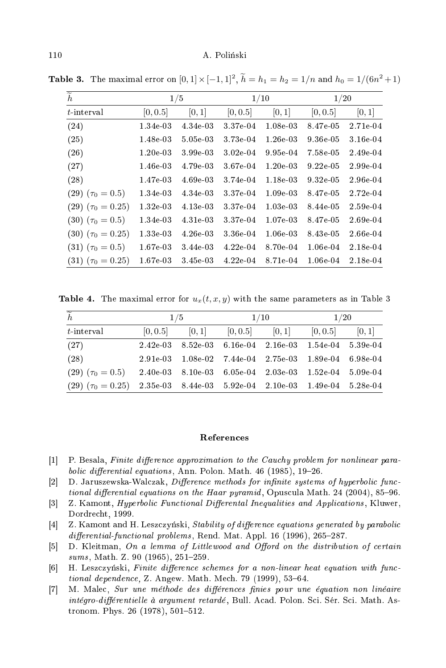| $\widetilde{h}$          | 1/5      |          | 1/10     |          | 1/20     |          |
|--------------------------|----------|----------|----------|----------|----------|----------|
| t interval               | [0, 0.5] | [0, 1]   | [0, 0.5] | [0, 1]   | [0, 0.5] | [0, 1]   |
| (24)                     | 1.34e 03 | 4.34e 03 | 3.37e 04 | 1.08e 03 | 8.47e-05 | 2.71e-04 |
| (25)                     | 1.48e 03 | 5.05e 03 | 3.73e 04 | 1.26e.03 | 9.36e 05 | 3.16e-04 |
| (26)                     | 1.20e.03 | 3.99e 03 | 3.02e.04 | 9.95e 04 | 7.58e 05 | 2.49e-04 |
| (27)                     | 1.46e 03 | 4.79e 03 | 3.67e 04 | 1.20e.03 | 9.22e.05 | 2.99e-04 |
| (28)                     | 1.47e 03 | 4.69e 03 | 3.74e 04 | 1.18e 03 | 9.32e.05 | 2.96e-04 |
| $(29)(\tau_0=0.5)$       | 1.34e 03 | 4.34e 03 | 3.37e 04 | 1.09e.03 | 8.47e-05 | 2.72e-04 |
| $(29)$ $(\tau_0 = 0.25)$ | 1.32e 03 | 4.13e 03 | 3.37e 04 | 1.03e.03 | 8.44e-05 | 2.59e-04 |
| $(30)$ $(\tau_0 = 0.5)$  | 1.34e 03 | 4.31e 03 | 3.37e 04 | 1.07e 03 | 8.47e-05 | 2.69e-04 |
| $(30)$ $(\tau_0 = 0.25)$ | 1.33e 03 | 4.26e 03 | 3.36e 04 | 1.06e 03 | 8.43e 05 | 2.66e-04 |
| $(31)$ $(\tau_0 = 0.5)$  | 1.67e 03 | 3.44e 03 | 4.22e.04 | 8.70e 04 | 1.06e-04 | 2.18e-04 |
| $(31)$ $(\tau_0 = 0.25)$ | 1.67e 03 | 3.45e 03 | 4.22e.04 | 8.71e 04 | 1.06e 04 | 2.18e 04 |

**Table 3.** The maximal error on  $[0,1] \times [-1,1]^2$ ,  $\tilde{h} = h_1 = h_2 = 1/n$  and  $h_0 = 1/(6n^2+1)$ 

**Table 4.** The maximal error for  $u_x(t, x, y)$  with the same parameters as in Table 3

| $\widetilde{h}$                                                                      | 1/5                 |  | 1/10                |  | 1/20                                                                                                                          |        |
|--------------------------------------------------------------------------------------|---------------------|--|---------------------|--|-------------------------------------------------------------------------------------------------------------------------------|--------|
| $t$ interval                                                                         | $[0, 0.5]$ $[0, 1]$ |  | $[0, 0.5]$ $[0, 1]$ |  | [0, 0.5]                                                                                                                      | [0, 1] |
| (27)                                                                                 |                     |  |                     |  | $2.42e\overline{03}$ $8.52e\overline{03}$ $6.16e\overline{04}$ $2.16e\overline{03}$ $1.54e\overline{04}$ $5.39e\overline{04}$ |        |
| (28)                                                                                 |                     |  |                     |  | $2.91e\ 03$ $1.08e\ 02$ $7.44e\ 04$ $2.75e\ 03$ $1.89e\ 04$ 6.98e 04                                                          |        |
| $(29)$ $(\tau_0 = 0.5)$ 2.40e-03 8.10e-03 6.05e-04 2.03e-03 1.52e-04 5.09e-04        |                     |  |                     |  |                                                                                                                               |        |
| $(29)$ $(\tau_0 = 0.25)$ $2.35e03$ $8.44e03$ $5.92e04$ $2.10e03$ $1.49e04$ $5.28e04$ |                     |  |                     |  |                                                                                                                               |        |

## References

- $[1]$ P. Besala, Finite difference approximation to the Cauchy problem for nonlinear parabolic differential equations, Ann. Polon. Math. 46 (1985), 19-26.
- D. Jaruszewska-Walczak, Difference methods for infinite systems of hyperbolic func- $\lceil 2 \rceil$ *tional differential equations on the Haar pyramid, Opuscula Math. 24 (2004), 85–96.*
- $\lceil 3 \rceil$ Z. Kamont, *Hyperbolic Functional Differental Inequalities and Applications*, Kluwer, Dordrecht, 1999.
- $[4]$ Z. Kamont and H. Leszczyński, Stability of difference equations generated by parabolic differential-functional problems, Rend. Mat. Appl. 16 (1996), 265-287.
- $\lceil 5 \rceil$ D. Kleitman, On a lemma of Littlewood and Offord on the distribution of certain sums, Math. Z. 90 (1965), 251-259.
- H. Leszczyński, Finite difference schemes for a non-linear heat equation with func- $\lceil 6 \rceil$ *tional dependence*, Z. Angew. Math. Mech. 79 (1999), 53-64.
- M. Malec, Sur une méthode des différences finies pour une équation non linéaire  $[7]$ intégro-différentielle à argument retardé, Bull. Acad. Polon. Sci. Sér. Sci. Math. Astronom. Phys. 26 (1978), 501-512.